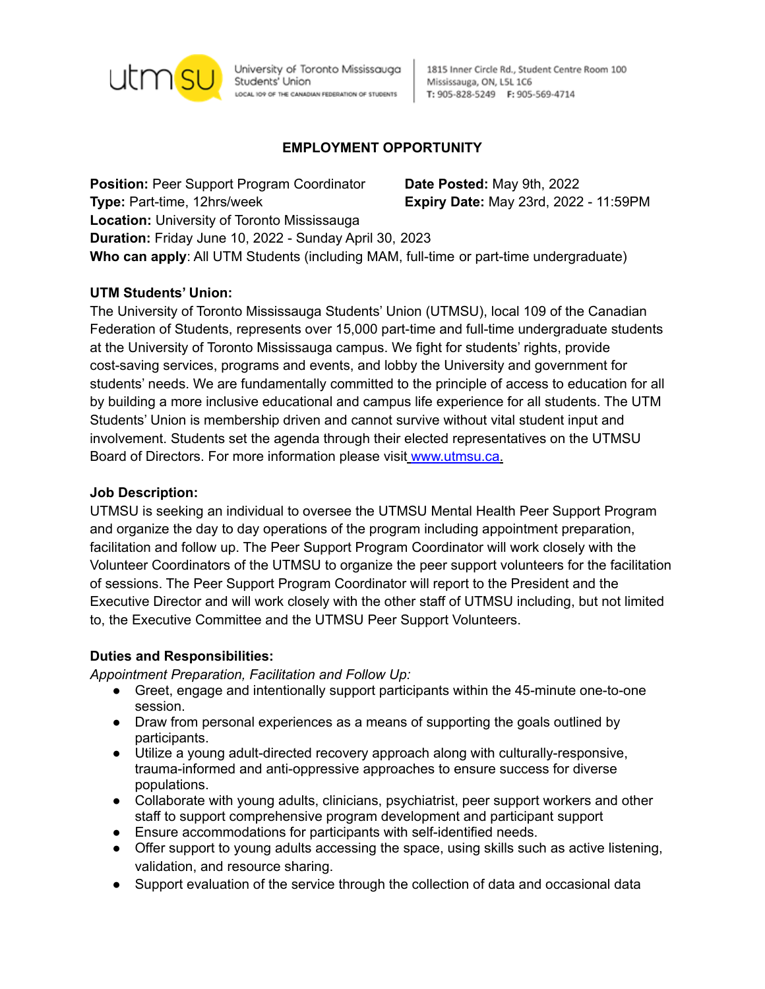

University of Toronto Mississauga Students' Union LOCAL IO9 OF THE CANADIAN FEDERATION OF STUDENTS

1815 Inner Circle Rd., Student Centre Room 100 Mississauga, ON, L5L 1C6 T: 905-828-5249 F: 905-569-4714

# **EMPLOYMENT OPPORTUNITY**

**Position:** Peer Support Program Coordinator **Date Posted:** May 9th, 2022 **Type:** Part-time, 12hrs/week **Expiry Date:** May 23rd, 2022 - 11:59PM **Location:** University of Toronto Mississauga **Duration:** Friday June 10, 2022 - Sunday April 30, 2023 **Who can apply**: All UTM Students (including MAM, full-time or part-time undergraduate)

### **UTM Students' Union:**

The University of Toronto Mississauga Students' Union (UTMSU), local 109 of the Canadian Federation of Students, represents over 15,000 part-time and full-time undergraduate students at the University of Toronto Mississauga campus. We fight for students' rights, provide cost-saving services, programs and events, and lobby the University and government for students' needs. We are fundamentally committed to the principle of access to education for all by building a more inclusive educational and campus life experience for all students. The UTM Students' Union is membership driven and cannot survive without vital student input and involvement. Students set the agenda through their elected representatives on the UTMSU Board of Directors. For more information please visit www.utmsu.ca.

#### **Job Description:**

UTMSU is seeking an individual to oversee the UTMSU Mental Health Peer Support Program and organize the day to day operations of the program including appointment preparation, facilitation and follow up. The Peer Support Program Coordinator will work closely with the Volunteer Coordinators of the UTMSU to organize the peer support volunteers for the facilitation of sessions. The Peer Support Program Coordinator will report to the President and the Executive Director and will work closely with the other staff of UTMSU including, but not limited to, the Executive Committee and the UTMSU Peer Support Volunteers.

#### **Duties and Responsibilities:**

*Appointment Preparation, Facilitation and Follow Up:*

- Greet, engage and intentionally support participants within the 45-minute one-to-one session.
- Draw from personal experiences as a means of supporting the goals outlined by participants.
- Utilize a young adult-directed recovery approach along with culturally-responsive, trauma-informed and anti-oppressive approaches to ensure success for diverse populations.
- Collaborate with young adults, clinicians, psychiatrist, peer support workers and other staff to support comprehensive program development and participant support
- Ensure accommodations for participants with self-identified needs.
- Offer support to young adults accessing the space, using skills such as active listening, validation, and resource sharing.
- Support evaluation of the service through the collection of data and occasional data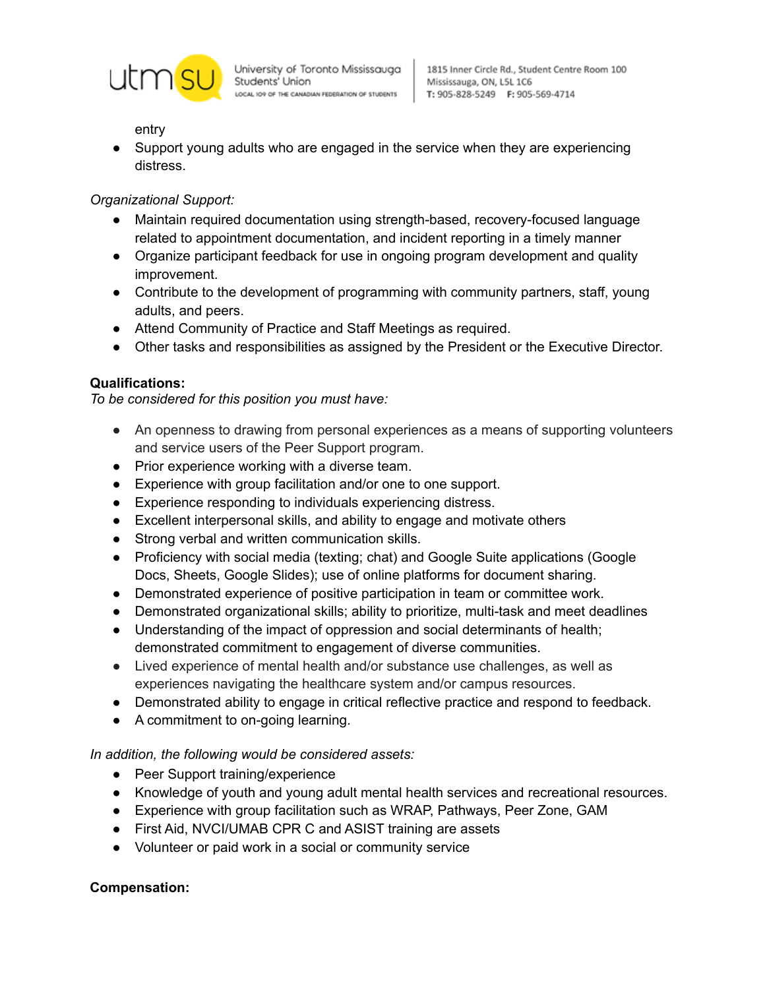

Students' Union LOCAL IO9 OF THE CANADIAN FEDERATION OF STUDENTS

entry

● Support young adults who are engaged in the service when they are experiencing distress.

# *Organizational Support:*

- Maintain required documentation using strength-based, recovery-focused language related to appointment documentation, and incident reporting in a timely manner
- Organize participant feedback for use in ongoing program development and quality improvement.
- Contribute to the development of programming with community partners, staff, young adults, and peers.
- Attend Community of Practice and Staff Meetings as required.
- Other tasks and responsibilities as assigned by the President or the Executive Director.

## **Qualifications:**

*To be considered for this position you must have:*

- An openness to drawing from personal experiences as a means of supporting volunteers and service users of the Peer Support program.
- Prior experience working with a diverse team.
- Experience with group facilitation and/or one to one support.
- Experience responding to individuals experiencing distress.
- Excellent interpersonal skills, and ability to engage and motivate others
- Strong verbal and written communication skills.
- Proficiency with social media (texting; chat) and Google Suite applications (Google Docs, Sheets, Google Slides); use of online platforms for document sharing.
- Demonstrated experience of positive participation in team or committee work.
- Demonstrated organizational skills; ability to prioritize, multi-task and meet deadlines
- Understanding of the impact of oppression and social determinants of health; demonstrated commitment to engagement of diverse communities.
- Lived experience of mental health and/or substance use challenges, as well as experiences navigating the healthcare system and/or campus resources.
- Demonstrated ability to engage in critical reflective practice and respond to feedback.
- A commitment to on-going learning.

## *In addition, the following would be considered assets:*

- Peer Support training/experience
- Knowledge of youth and young adult mental health services and recreational resources.
- Experience with group facilitation such as WRAP, Pathways, Peer Zone, GAM
- First Aid, NVCI/UMAB CPR C and ASIST training are assets
- Volunteer or paid work in a social or community service

## **Compensation:**